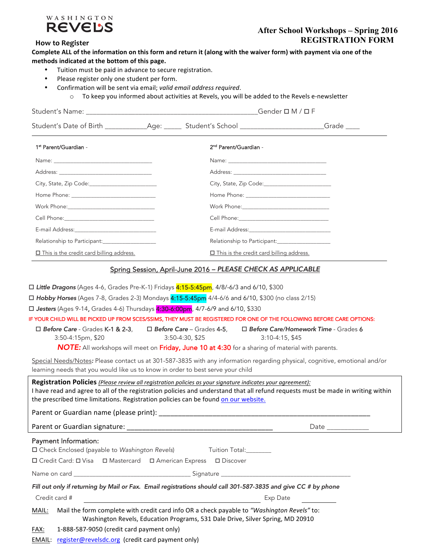

## **After School Workshops – Spring 2016 How to Register REGISTRATION FORM**

| Complete ALL of the information on this form and return it (along with the waiver form) with payment via one of the |  |
|---------------------------------------------------------------------------------------------------------------------|--|
| methods indicated at the bottom of this page.                                                                       |  |

- Tuition must be paid in advance to secure registration.
- Please register only one student per form.
- Confirmation will be sent via email; *valid email address required*.
	- o To keep you informed about activities at Revels, you will be added to the Revels e-newsletter

| 1 <sup>st</sup> Parent/Guardian -                                                                                                                                                                                                                                                                                                                                                                                                                                                                                                                                                                                                                                                                                                                                                                        | 2 <sup>nd</sup> Parent/Guardian -                                                                                     |                  |
|----------------------------------------------------------------------------------------------------------------------------------------------------------------------------------------------------------------------------------------------------------------------------------------------------------------------------------------------------------------------------------------------------------------------------------------------------------------------------------------------------------------------------------------------------------------------------------------------------------------------------------------------------------------------------------------------------------------------------------------------------------------------------------------------------------|-----------------------------------------------------------------------------------------------------------------------|------------------|
|                                                                                                                                                                                                                                                                                                                                                                                                                                                                                                                                                                                                                                                                                                                                                                                                          |                                                                                                                       |                  |
|                                                                                                                                                                                                                                                                                                                                                                                                                                                                                                                                                                                                                                                                                                                                                                                                          |                                                                                                                       |                  |
|                                                                                                                                                                                                                                                                                                                                                                                                                                                                                                                                                                                                                                                                                                                                                                                                          |                                                                                                                       |                  |
|                                                                                                                                                                                                                                                                                                                                                                                                                                                                                                                                                                                                                                                                                                                                                                                                          |                                                                                                                       |                  |
|                                                                                                                                                                                                                                                                                                                                                                                                                                                                                                                                                                                                                                                                                                                                                                                                          |                                                                                                                       |                  |
|                                                                                                                                                                                                                                                                                                                                                                                                                                                                                                                                                                                                                                                                                                                                                                                                          |                                                                                                                       |                  |
| E-mail Address: North and Second Communications of the Communication of the Communication of the Communication                                                                                                                                                                                                                                                                                                                                                                                                                                                                                                                                                                                                                                                                                           |                                                                                                                       |                  |
|                                                                                                                                                                                                                                                                                                                                                                                                                                                                                                                                                                                                                                                                                                                                                                                                          |                                                                                                                       |                  |
| □ This is the credit card billing address.                                                                                                                                                                                                                                                                                                                                                                                                                                                                                                                                                                                                                                                                                                                                                               | □ This is the credit card billing address.                                                                            |                  |
| □ <b>Jesters</b> (Ages 9-14, Grades 4-6) Thursdays <mark>4:30-6:00pm</mark> , 4/7-6/9 and 6/10, \$330<br>IF YOUR CHILD WILL BE PICKED UP FROM SCES/SSIMS, THEY MUST BE REGISTERED FOR ONE OF THE FOLLOWING BEFORE CARE OPTIONS:<br>□ Before Care - Grades K-1 & 2-3, □ Before Care - Grades 4-5, □ Before Care/Homework Time - Grades 6<br>3:50-4:15pm, \$20<br><b>NOTE:</b> All workshops will meet on Friday, June 10 at 4:30 for a sharing of material with parents.<br>Special Needs/Notes: Please contact us at 301-587-3835 with any information regarding physical, cognitive, emotional and/or<br>learning needs that you would like us to know in order to best serve your child<br>Registration Policies (Please review all registration policies as your signature indicates your agreement): | 3:50-4:30, \$25                                                                                                       | $3:10-4:15, $45$ |
| I have read and agree to all of the registration policies and understand that all refund requests must be made in writing within<br>the prescribed time limitations. Registration policies can be found on our website.                                                                                                                                                                                                                                                                                                                                                                                                                                                                                                                                                                                  |                                                                                                                       |                  |
|                                                                                                                                                                                                                                                                                                                                                                                                                                                                                                                                                                                                                                                                                                                                                                                                          |                                                                                                                       |                  |
| Parent or Guardian signature:                                                                                                                                                                                                                                                                                                                                                                                                                                                                                                                                                                                                                                                                                                                                                                            |                                                                                                                       |                  |
| Payment Information:<br>□ Check Enclosed (payable to Washington Revels)<br>□ Credit Card: □ Visa □ Mastercard □ American Express □ Discover                                                                                                                                                                                                                                                                                                                                                                                                                                                                                                                                                                                                                                                              | Tuition Total:_______                                                                                                 |                  |
|                                                                                                                                                                                                                                                                                                                                                                                                                                                                                                                                                                                                                                                                                                                                                                                                          |                                                                                                                       |                  |
| Fill out only if returning by Mail or Fax. Email registrations should call 301-587-3835 and give CC # by phone<br>Credit card #                                                                                                                                                                                                                                                                                                                                                                                                                                                                                                                                                                                                                                                                          | <u> 1980 - Johann Barbara, martin da basar a shekara 1980 - An tsara 1980 - An tsara 1980 - An tsara 1980 - An ts</u> | Exp Date         |
| Mail the form complete with credit card info OR a check payable to "Washington Revels" to:<br>MAIL:                                                                                                                                                                                                                                                                                                                                                                                                                                                                                                                                                                                                                                                                                                      | Washington Revels, Education Programs, 531 Dale Drive, Silver Spring, MD 20910                                        |                  |

 $FAX: 1-888-587-9050$  (credit card payment only)

EMAIL: register@revelsdc.org (credit card payment only)